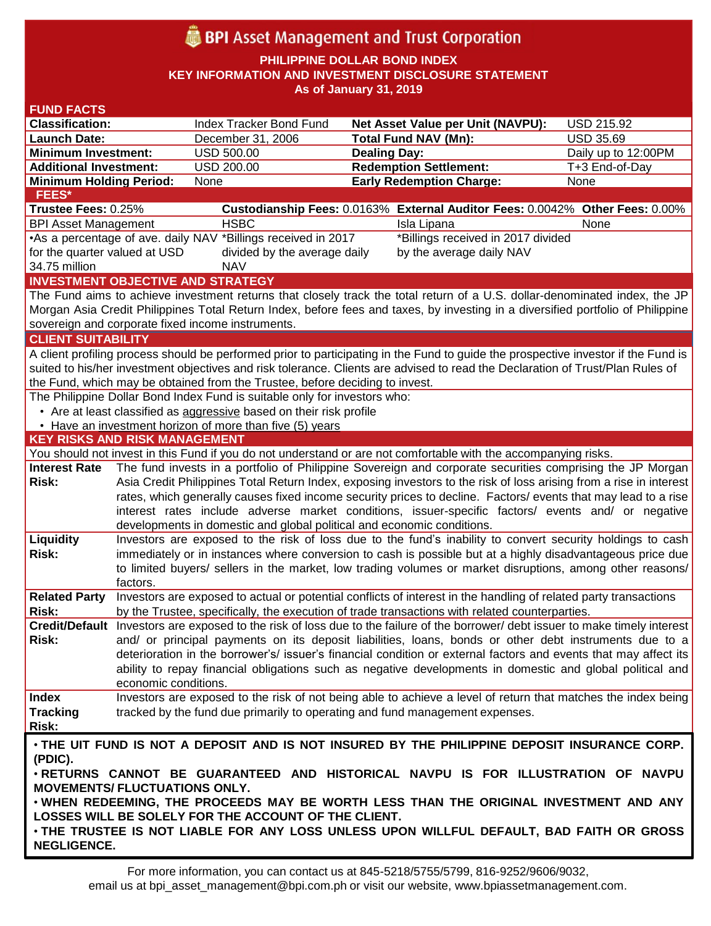# **BPI** Asset Management and Trust Corporation

**PHILIPPINE DOLLAR BOND INDEX**

**KEY INFORMATION AND INVESTMENT DISCLOSURE STATEMENT**

**As of January 31, 2019**

| <b>FUND FACTS</b>                                                                                                                  |                                                                                                                                                                                                                         |                                                                        |                                                                                                                                 |                     |  |  |
|------------------------------------------------------------------------------------------------------------------------------------|-------------------------------------------------------------------------------------------------------------------------------------------------------------------------------------------------------------------------|------------------------------------------------------------------------|---------------------------------------------------------------------------------------------------------------------------------|---------------------|--|--|
| <b>Classification:</b>                                                                                                             |                                                                                                                                                                                                                         | Index Tracker Bond Fund                                                | Net Asset Value per Unit (NAVPU):                                                                                               | <b>USD 215.92</b>   |  |  |
| <b>Launch Date:</b>                                                                                                                |                                                                                                                                                                                                                         | December 31, 2006                                                      | <b>Total Fund NAV (Mn):</b>                                                                                                     | <b>USD 35.69</b>    |  |  |
| <b>Minimum Investment:</b>                                                                                                         |                                                                                                                                                                                                                         | <b>USD 500.00</b>                                                      | <b>Dealing Day:</b>                                                                                                             | Daily up to 12:00PM |  |  |
| <b>Additional Investment:</b>                                                                                                      |                                                                                                                                                                                                                         | USD 200.00                                                             | <b>Redemption Settlement:</b>                                                                                                   | T+3 End-of-Day      |  |  |
| <b>Minimum Holding Period:</b>                                                                                                     |                                                                                                                                                                                                                         | None                                                                   | <b>Early Redemption Charge:</b>                                                                                                 | None                |  |  |
| <b>FEES*</b>                                                                                                                       |                                                                                                                                                                                                                         |                                                                        |                                                                                                                                 |                     |  |  |
| Trustee Fees: 0.25%                                                                                                                |                                                                                                                                                                                                                         |                                                                        | Custodianship Fees: 0.0163% External Auditor Fees: 0.0042% Other Fees: 0.00%                                                    |                     |  |  |
| <b>BPI Asset Management</b>                                                                                                        |                                                                                                                                                                                                                         | <b>HSBC</b>                                                            | Isla Lipana                                                                                                                     | None                |  |  |
|                                                                                                                                    | *Billings received in 2017 divided<br>•As a percentage of ave. daily NAV *Billings received in 2017                                                                                                                     |                                                                        |                                                                                                                                 |                     |  |  |
| for the quarter valued at USD                                                                                                      |                                                                                                                                                                                                                         | divided by the average daily                                           | by the average daily NAV                                                                                                        |                     |  |  |
|                                                                                                                                    | 34.75 million<br><b>NAV</b>                                                                                                                                                                                             |                                                                        |                                                                                                                                 |                     |  |  |
| <b>INVESTMENT OBJECTIVE AND STRATEGY</b>                                                                                           |                                                                                                                                                                                                                         |                                                                        |                                                                                                                                 |                     |  |  |
| The Fund aims to achieve investment returns that closely track the total return of a U.S. dollar-denominated index, the JP         |                                                                                                                                                                                                                         |                                                                        |                                                                                                                                 |                     |  |  |
| Morgan Asia Credit Philippines Total Return Index, before fees and taxes, by investing in a diversified portfolio of Philippine    |                                                                                                                                                                                                                         |                                                                        |                                                                                                                                 |                     |  |  |
| sovereign and corporate fixed income instruments.                                                                                  |                                                                                                                                                                                                                         |                                                                        |                                                                                                                                 |                     |  |  |
| <b>CLIENT SUITABILITY</b>                                                                                                          |                                                                                                                                                                                                                         |                                                                        |                                                                                                                                 |                     |  |  |
| A client profiling process should be performed prior to participating in the Fund to guide the prospective investor if the Fund is |                                                                                                                                                                                                                         |                                                                        |                                                                                                                                 |                     |  |  |
| suited to his/her investment objectives and risk tolerance. Clients are advised to read the Declaration of Trust/Plan Rules of     |                                                                                                                                                                                                                         |                                                                        |                                                                                                                                 |                     |  |  |
| the Fund, which may be obtained from the Trustee, before deciding to invest.                                                       |                                                                                                                                                                                                                         |                                                                        |                                                                                                                                 |                     |  |  |
| The Philippine Dollar Bond Index Fund is suitable only for investors who:                                                          |                                                                                                                                                                                                                         |                                                                        |                                                                                                                                 |                     |  |  |
| • Are at least classified as aggressive based on their risk profile                                                                |                                                                                                                                                                                                                         |                                                                        |                                                                                                                                 |                     |  |  |
|                                                                                                                                    |                                                                                                                                                                                                                         | • Have an investment horizon of more than five (5) years               |                                                                                                                                 |                     |  |  |
| <b>KEY RISKS AND RISK MANAGEMENT</b>                                                                                               |                                                                                                                                                                                                                         |                                                                        |                                                                                                                                 |                     |  |  |
|                                                                                                                                    |                                                                                                                                                                                                                         |                                                                        | You should not invest in this Fund if you do not understand or are not comfortable with the accompanying risks.                 |                     |  |  |
| <b>Interest Rate</b>                                                                                                               |                                                                                                                                                                                                                         |                                                                        | The fund invests in a portfolio of Philippine Sovereign and corporate securities comprising the JP Morgan                       |                     |  |  |
| <b>Risk:</b>                                                                                                                       | Asia Credit Philippines Total Return Index, exposing investors to the risk of loss arising from a rise in interest                                                                                                      |                                                                        |                                                                                                                                 |                     |  |  |
|                                                                                                                                    |                                                                                                                                                                                                                         |                                                                        | rates, which generally causes fixed income security prices to decline. Factors/ events that may lead to a rise                  |                     |  |  |
|                                                                                                                                    |                                                                                                                                                                                                                         |                                                                        | interest rates include adverse market conditions, issuer-specific factors/ events and/ or negative                              |                     |  |  |
|                                                                                                                                    |                                                                                                                                                                                                                         | developments in domestic and global political and economic conditions. |                                                                                                                                 |                     |  |  |
| Liquidity                                                                                                                          |                                                                                                                                                                                                                         |                                                                        | Investors are exposed to the risk of loss due to the fund's inability to convert security holdings to cash                      |                     |  |  |
| <b>Risk:</b>                                                                                                                       | immediately or in instances where conversion to cash is possible but at a highly disadvantageous price due<br>to limited buyers/ sellers in the market, low trading volumes or market disruptions, among other reasons/ |                                                                        |                                                                                                                                 |                     |  |  |
|                                                                                                                                    |                                                                                                                                                                                                                         |                                                                        |                                                                                                                                 |                     |  |  |
|                                                                                                                                    | factors.                                                                                                                                                                                                                |                                                                        | Investors are exposed to actual or potential conflicts of interest in the handling of related party transactions                |                     |  |  |
| <b>Related Party</b><br><b>Risk:</b>                                                                                               |                                                                                                                                                                                                                         |                                                                        | by the Trustee, specifically, the execution of trade transactions with related counterparties.                                  |                     |  |  |
|                                                                                                                                    |                                                                                                                                                                                                                         |                                                                        | Credit/Default Investors are exposed to the risk of loss due to the failure of the borrower/debt issuer to make timely interest |                     |  |  |
| Risk:                                                                                                                              |                                                                                                                                                                                                                         |                                                                        | and/ or principal payments on its deposit liabilities, loans, bonds or other debt instruments due to a                          |                     |  |  |
|                                                                                                                                    |                                                                                                                                                                                                                         |                                                                        | deterioration in the borrower's/ issuer's financial condition or external factors and events that may affect its                |                     |  |  |
|                                                                                                                                    |                                                                                                                                                                                                                         |                                                                        | ability to repay financial obligations such as negative developments in domestic and global political and                       |                     |  |  |
|                                                                                                                                    | economic conditions.                                                                                                                                                                                                    |                                                                        |                                                                                                                                 |                     |  |  |
| <b>Index</b>                                                                                                                       |                                                                                                                                                                                                                         |                                                                        | Investors are exposed to the risk of not being able to achieve a level of return that matches the index being                   |                     |  |  |
| <b>Tracking</b>                                                                                                                    |                                                                                                                                                                                                                         |                                                                        | tracked by the fund due primarily to operating and fund management expenses.                                                    |                     |  |  |
| Risk:                                                                                                                              |                                                                                                                                                                                                                         |                                                                        |                                                                                                                                 |                     |  |  |
|                                                                                                                                    |                                                                                                                                                                                                                         |                                                                        |                                                                                                                                 |                     |  |  |
| . THE UIT FUND IS NOT A DEPOSIT AND IS NOT INSURED BY THE PHILIPPINE DEPOSIT INSURANCE CORP.                                       |                                                                                                                                                                                                                         |                                                                        |                                                                                                                                 |                     |  |  |
| (PDIC).<br>. RETURNS CANNOT BE GUARANTEED AND HISTORICAL NAVPU IS FOR ILLUSTRATION OF NAVPU                                        |                                                                                                                                                                                                                         |                                                                        |                                                                                                                                 |                     |  |  |
| <b>MOVEMENTS/ FLUCTUATIONS ONLY.</b>                                                                                               |                                                                                                                                                                                                                         |                                                                        |                                                                                                                                 |                     |  |  |
| . WHEN REDEEMING, THE PROCEEDS MAY BE WORTH LESS THAN THE ORIGINAL INVESTMENT AND ANY                                              |                                                                                                                                                                                                                         |                                                                        |                                                                                                                                 |                     |  |  |
| LOSSES WILL BE SOLELY FOR THE ACCOUNT OF THE CLIENT.                                                                               |                                                                                                                                                                                                                         |                                                                        |                                                                                                                                 |                     |  |  |
| . THE TRUSTEE IS NOT LIABLE FOR ANY LOSS UNLESS UPON WILLFUL DEFAULT, BAD FAITH OR GROSS                                           |                                                                                                                                                                                                                         |                                                                        |                                                                                                                                 |                     |  |  |
| <b>NEGLIGENCE.</b>                                                                                                                 |                                                                                                                                                                                                                         |                                                                        |                                                                                                                                 |                     |  |  |
|                                                                                                                                    |                                                                                                                                                                                                                         |                                                                        |                                                                                                                                 |                     |  |  |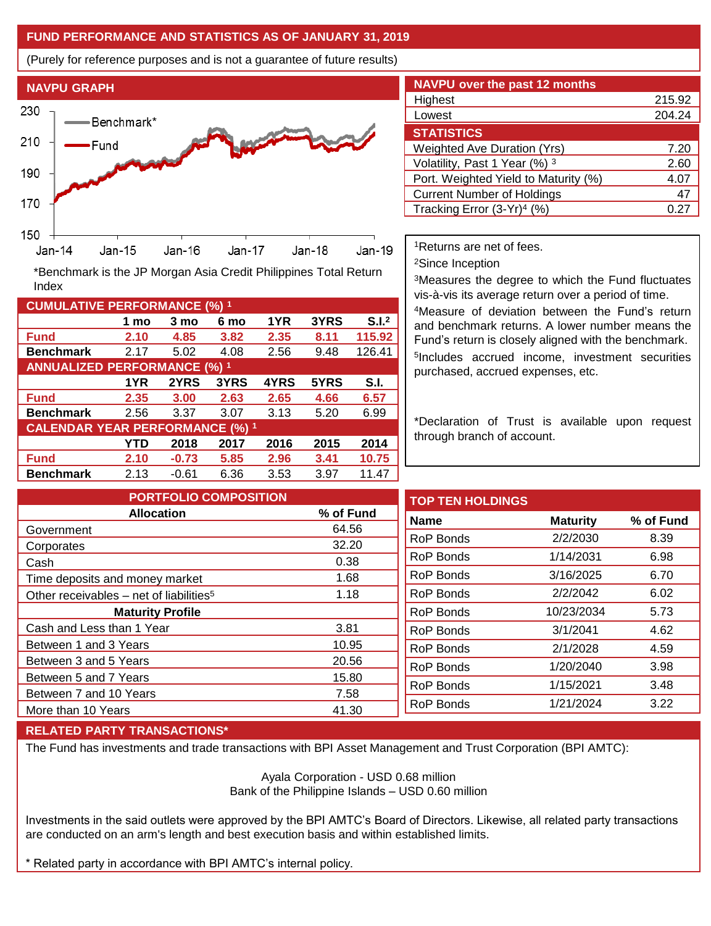## **FUND PERFORMANCE AND STATISTICS AS OF JANUARY 31, 2019**

(Purely for reference purposes and is not a guarantee of future results)



**Fund 2.10 4.85 3.82 2.35 8.11 115.92 Benchmark** 2.17 5.02 4.08 2.56 9.48 126.41

\*Benchmark is the JP Morgan Asia Credit Philippines Total Return

**Fund 2.35 3.00 2.63 2.65 4.66 6.57 Benchmark** 2.56 3.37 3.07 3.13 5.20 6.99

**Fund 2.10 -0.73 5.85 2.96 3.41 10.75 Benchmark** 2.13 -0.61 6.36 3.53 3.97 11.47

**1 mo 3 mo 6 mo 1YR 3YRS S.I.<sup>2</sup>**

**1YR 2YRS 3YRS 4YRS 5YRS S.I.**

**YTD 2018 2017 2016 2015 2014**

| <b>NAVPU over the past 12 months</b> |        |
|--------------------------------------|--------|
| Highest                              | 215.92 |
| Lowest                               | 204.24 |
| <b>STATISTICS</b>                    |        |
| <b>Weighted Ave Duration (Yrs)</b>   | 7.20   |
| Volatility, Past 1 Year (%) 3        | 2.60   |
| Port. Weighted Yield to Maturity (%) | 4.07   |
| <b>Current Number of Holdings</b>    | 47     |
| Tracking Error $(3-Yr)^4$ (%)        | 0.27   |

<sup>1</sup>Returns are net of fees.

<sup>2</sup>Since Inception

<sup>3</sup>Measures the degree to which the Fund fluctuates vis-à-vis its average return over a period of time.

<sup>4</sup>Measure of deviation between the Fund's return and benchmark returns. A lower number means the Fund's return is closely aligned with the benchmark. 5 Includes accrued income, investment securities purchased, accrued expenses, etc.

\*Declaration of Trust is available upon request through branch of account.

**TOP TEN HOLDINGS Name Maturity % of Fund** RoP Bonds 2/2/2030 8.39 RoP Bonds 1/14/2031 6.98 RoP Bonds 3/16/2025 6.70 RoP Bonds 2/2/2042 6.02 RoP Bonds 10/23/2034 5.73 RoP Bonds 3/1/2041 4.62 RoP Bonds 2/1/2028 4.59 RoP Bonds 1/20/2040 3.98 RoP Bonds 1/15/2021 3.48 RoP Bonds 1/21/2024 3.22 **PORTFOLIO COMPOSITION Allocation % of Fund** Government 64.56 Corporates 32.20 Cash 0.38 Time deposits and money market 1.68 Other receivables – net of liabilities<sup>5</sup>  $1.18$ **Maturity Profile** Cash and Less than 1 Year 3.81 Between 1 and 3 Years 10.95 Between 3 and 5 Years 20.56 Between 5 and 7 Years 15.80 Between 7 and 10 Years 7.58 More than 10 Years 41.30

### **RELATED PARTY TRANSACTIONS\***

**CUMULATIVE PERFORMANCE (%) <sup>1</sup>**

Index

**ANNUALIZED PERFORMANCE (%) <sup>1</sup>**

**CALENDAR YEAR PERFORMANCE (%) <sup>1</sup>**

The Fund has investments and trade transactions with BPI Asset Management and Trust Corporation (BPI AMTC):

Ayala Corporation - USD 0.68 million Bank of the Philippine Islands – USD 0.60 million

Investments in the said outlets were approved by the BPI AMTC's Board of Directors. Likewise, all related party transactions are conducted on an arm's length and best execution basis and within established limits.

\* Related party in accordance with BPI AMTC's internal policy.